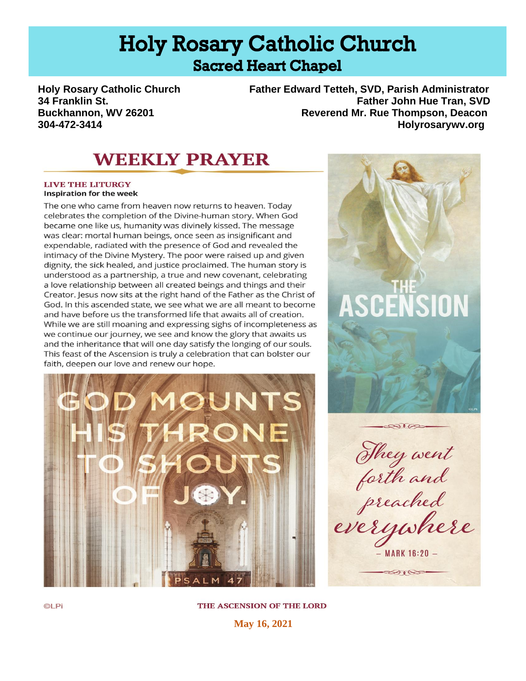# **Holy Rosary Catholic Church Sacred Heart Chapel**

**Holy Rosary Catholic Church Father Edward Tetteh, SVD, Parish Administrator 34 Franklin St. Father John Hue Tran, SVD Buckhannon, WV 26201 Reverend Mr. Rue Thompson, Deacon 304-472-3414 Holyrosarywv.org**

## **WEEKLY PRAYER**

**LIVE THE LITURGY Inspiration for the week** 

The one who came from heaven now returns to heaven. Today celebrates the completion of the Divine-human story. When God became one like us, humanity was divinely kissed. The message was clear: mortal human beings, once seen as insignificant and expendable, radiated with the presence of God and revealed the intimacy of the Divine Mystery. The poor were raised up and given dignity, the sick healed, and justice proclaimed. The human story is understood as a partnership, a true and new covenant, celebrating a love relationship between all created beings and things and their Creator. Jesus now sits at the right hand of the Father as the Christ of God. In this ascended state, we see what we are all meant to become and have before us the transformed life that awaits all of creation. While we are still moaning and expressing sighs of incompleteness as we continue our journey, we see and know the glory that awaits us and the inheritance that will one day satisfy the longing of our souls. This feast of the Ascension is truly a celebration that can bolster our faith, deepen our love and renew our hope.





 $\otimes$ They went<br>forth and<br>everywhere **MARK 16:20 -BOOKS** 

THE ASCENSION OF THE LORD

**May 16, 2021**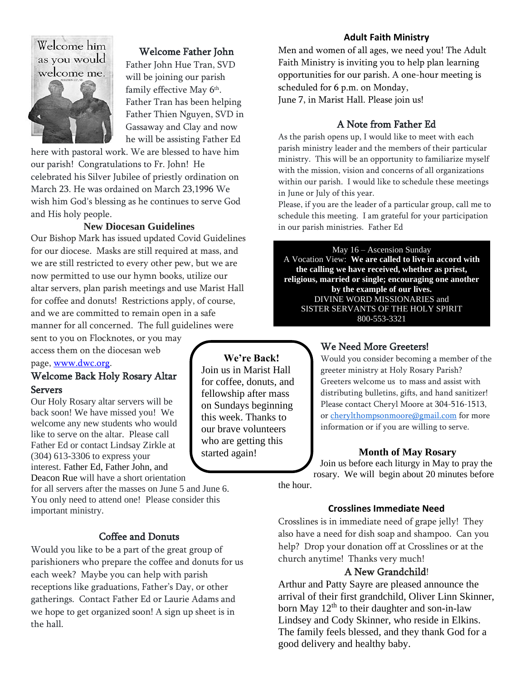## Welcome him as you would welcome me.



## Welcome Father John

Father John Hue Tran, SVD will be joining our parish family effective May 6<sup>th</sup>. Father Tran has been helping Father Thien Nguyen, SVD in Gassaway and Clay and now he will be assisting Father Ed

here with pastoral work. We are blessed to have him our parish! Congratulations to Fr. John! He celebrated his Silver Jubilee of priestly ordination on March 23. He was ordained on March 23,1996 We wish him God's blessing as he continues to serve God and His holy people.

#### **New Diocesan Guidelines**

Our Bishop Mark has issued updated Covid Guidelines for our diocese. Masks are still required at mass, and we are still restricted to every other pew, but we are now permitted to use our hymn books, utilize our altar servers, plan parish meetings and use Marist Hall for coffee and donuts! Restrictions apply, of course, and we are committed to remain open in a safe manner for all concerned. The full guidelines were

sent to you on Flocknotes, or you may access them on the diocesan web

## page, [www.dwc.org.](http://www.dwc.org/)

## Welcome Back Holy Rosary Altar Servers

Our Holy Rosary altar servers will be back soon! We have missed you! We welcome any new students who would like to serve on the altar. Please call Father Ed or contact Lindsay Zirkle at (304) 613-3306 to express your interest. Father Ed, Father John, and Deacon Rue will have a short orientation

for all servers after the masses on June 5 and June 6. You only need to attend one! Please consider this important ministry.

## Coffee and Donuts

Would you like to be a part of the great group of parishioners who prepare the coffee and donuts for us each week? Maybe you can help with parish receptions like graduations, Father's Day, or other gatherings. Contact Father Ed or Laurie Adams and we hope to get organized soon! A sign up sheet is in the hall.

**We're Back!** Join us in Marist Hall for coffee, donuts, and fellowship after mass on Sundays beginning this week. Thanks to our brave volunteers who are getting this started again!

#### **Adult Faith Ministry**

Men and women of all ages, we need you! The Adult Faith Ministry is inviting you to help plan learning opportunities for our parish. A one-hour meeting is scheduled for 6 p.m. on Monday, June 7, in Marist Hall. Please join us!

#### A Note from Father Ed

As the parish opens up, I would like to meet with each parish ministry leader and the members of their particular ministry. This will be an opportunity to familiarize myself with the mission, vision and concerns of all organizations within our parish. I would like to schedule these meetings in June or July of this year.

Please, if you are the leader of a particular group, call me to schedule this meeting. I am grateful for your participation in our parish ministries. Father Ed

May 16 – Ascension Sunday A Vocation View: **We are called to live in accord with the calling we have received, whether as priest, religious, married or single; encouraging one another by the example of our lives.**  DIVINE WORD MISSIONARIES and SISTER SERVANTS OF THE HOLY SPIRIT 800-553-3321

### We Need More Greeters!

Would you consider becoming a member of the greeter ministry at Holy Rosary Parish? Greeters welcome us to mass and assist with distributing bulletins, gifts, and hand sanitizer! Please contact Cheryl Moore at 304-516-1513, or [cherylthompsonmoore@gmail.com](mailto:cherylthompsonmoore@gmail.com) for more information or if you are willing to serve.

#### **Month of May Rosary**

Join us before each liturgy in May to pray the rosary. We will begin about 20 minutes before

the hour.

#### **Crosslines Immediate Need**

Crosslines is in immediate need of grape jelly! They also have a need for dish soap and shampoo. Can you help? Drop your donation off at Crosslines or at the church anytime! Thanks very much!

#### A New Grandchild!

Arthur and Patty Sayre are pleased announce the arrival of their first grandchild, Oliver Linn Skinner, born May  $12<sup>th</sup>$  to their daughter and son-in-law Lindsey and Cody Skinner, who reside in Elkins. The family feels blessed, and they thank God for a good delivery and healthy baby.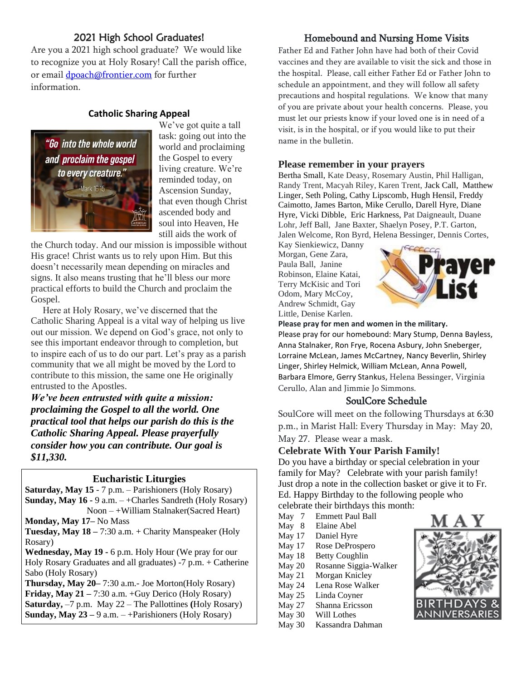## 2021 High School Graduates!

Are you a 2021 high school graduate? We would like to recognize you at Holy Rosary! Call the parish office, or email [dpoach@frontier.com](mailto:dpoach@frontier.com) for further information.

### **Catholic Sharing Appeal**



We've got quite a tall task: going out into the world and proclaiming the Gospel to every living creature. We're reminded today, on Ascension Sunday, that even though Christ ascended body and soul into Heaven, He still aids the work of

the Church today. And our mission is impossible without His grace! Christ wants us to rely upon Him. But this doesn't necessarily mean depending on miracles and signs. It also means trusting that he'll bless our more practical efforts to build the Church and proclaim the Gospel.

 Here at Holy Rosary, we've discerned that the Catholic Sharing Appeal is a vital way of helping us live out our mission. We depend on God's grace, not only to see this important endeavor through to completion, but to inspire each of us to do our part. Let's pray as a parish community that we all might be moved by the Lord to contribute to this mission, the same one He originally entrusted to the Apostles.

*We've been entrusted with quite a mission: proclaiming the Gospel to all the world. One practical tool that helps our parish do this is the Catholic Sharing Appeal. Please prayerfully consider how you can contribute. Our goal is \$11,330.*

### **Eucharistic Liturgies**

**Saturday, May 15** - 7 p.m. – Parishioners (Holy Rosary) **Sunday, May 16 -** 9 a.m. – +Charles Sandreth (Holy Rosary)

Noon – +William Stalnaker(Sacred Heart) **Monday, May 17–** No Mass

**Tuesday, May 18 –** 7:30 a.m. + Charity Manspeaker (Holy Rosary)

**Wednesday, May 19 -** 6 p.m. Holy Hour (We pray for our Holy Rosary Graduates and all graduates) -7 p.m. + Catherine Sabo (Holy Rosary)

**Thursday, May 20–** 7:30 a.m.- Joe Morton(Holy Rosary) **Friday, May 21 –** 7:30 a.m. +Guy Derico (Holy Rosary) **Saturday,** –7 p.m. May 22 – The Pallottines **(**Holy Rosary) **Sunday, May 23 –** 9 a.m. – +Parishioners (Holy Rosary)

## Homebound and Nursing Home Visits

Father Ed and Father John have had both of their Covid vaccines and they are available to visit the sick and those in the hospital. Please, call either Father Ed or Father John to schedule an appointment, and they will follow all safety precautions and hospital regulations. We know that many of you are private about your health concerns. Please, you must let our priests know if your loved one is in need of a visit, is in the hospital, or if you would like to put their name in the bulletin.

#### **Please remember in your prayers**

Bertha Small, Kate Deasy, Rosemary Austin, Phil Halligan, Randy Trent, Macyah Riley, Karen Trent, Jack Call, Matthew Linger, Seth Poling, Cathy Lipscomb, Hugh Hensil, Freddy Caimotto, James Barton, Mike Cerullo, Darell Hyre, Diane Hyre, Vicki Dibble, Eric Harkness, Pat Daigneault, Duane Lohr, Jeff Ball, Jane Baxter, Shaelyn Posey, P.T. Garton, Jalen Welcome, Ron Byrd, Helena Bessinger, Dennis Cortes,

Kay Sienkiewicz, Danny Morgan, Gene Zara, Paula Ball, Janine Robinson, Elaine Katai, Terry McKisic and Tori Odom, Mary McCoy, Andrew Schmidt, Gay Little, Denise Karlen.



**Please pray for men and women in the military.** Please pray for our homebound: Mary Stump, Denna Bayless, Anna Stalnaker, Ron Frye, Rocena Asbury, John Sneberger, Lorraine McLean, James McCartney, Nancy Beverlin, Shirley Linger, Shirley Helmick, William McLean, Anna Powell, Barbara Elmore, Gerry Stankus, Helena Bessinger, Virginia Cerullo, Alan and Jimmie Jo Simmons.

### SoulCore Schedule

SoulCore will meet on the following Thursdays at 6:30 p.m., in Marist Hall: Every Thursday in May: May 20, May 27. Please wear a mask.

#### **Celebrate With Your Parish Family!**

Do you have a birthday or special celebration in your family for May? Celebrate with your parish family! Just drop a note in the collection basket or give it to Fr. Ed. Happy Birthday to the following people who celebrate their birthdays this month:

- May 7 Emmett Paul Ball<br>May 8 Elaine Abel Elaine Abel
- May 17 Daniel Hyre
- May 17 Rose DeProspero
- May 18 Betty Coughlin
- May 20 Rosanne Siggia-Walker
- May 21 Morgan Knicley
- May 24 Lena Rose Walker
- May 25 Linda Coyner
- May 27 Shanna Ericsson
- May 30 Will Lothes
- May 30 Kassandra Dahman